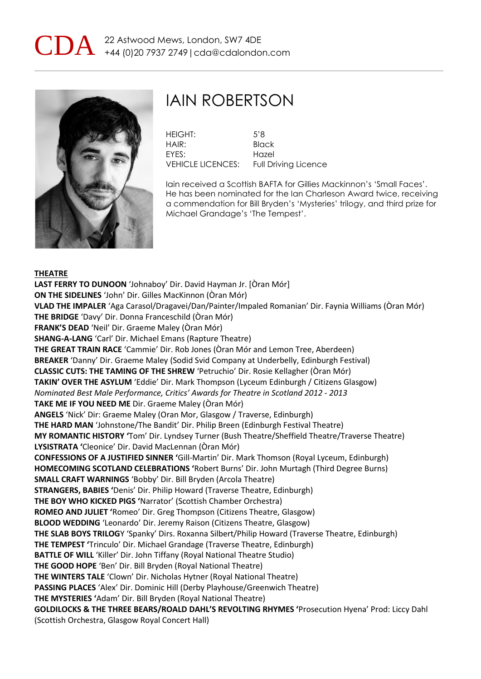



## IAIN ROBERTSON

HEIGHT: 5'8 HAIR: Black EYES: Hazel VEHICLE LICENCES: Full Driving Licence

Iain received a Scottish BAFTA for Gillies Mackinnon's 'Small Faces'. He has been nominated for the Ian Charleson Award twice, receiving a commendation for Bill Bryden's 'Mysteries' trilogy, and third prize for Michael Grandage's 'The Tempest'.

### **THEATRE**

**LAST FERRY TO DUNOON** 'Johnaboy' Dir. David Hayman Jr. [Òran Mór] **ON THE SIDELINES** 'John' Dir. Gilles MacKinnon (Òran Mór) **VLAD THE IMPALER** 'Aga Carasol/Dragavei/Dan/Painter/Impaled Romanian' Dir. Faynia Williams (Òran Mór) **THE BRIDGE** 'Davy' Dir. Donna Franceschild (Òran Mór) **FRANK'S DEAD** 'Neil' Dir. Graeme Maley (Òran Mór) **SHANG-A-LANG** 'Carl' Dir. Michael Emans (Rapture Theatre) **THE GREAT TRAIN RACE** 'Cammie' Dir. Rob Jones (Òran Mór and Lemon Tree, Aberdeen) **BREAKER** 'Danny' Dir. Graeme Maley (Sodid Svid Company at Underbelly, Edinburgh Festival) **CLASSIC CUTS: THE TAMING OF THE SHREW** 'Petruchio' Dir. Rosie Kellagher (Òran Mór) **TAKIN' OVER THE ASYLUM** 'Eddie' Dir. Mark Thompson (Lyceum Edinburgh / Citizens Glasgow) *Nominated Best Male Performance, Critics' Awards for Theatre in Scotland 2012 - 2013* **TAKE ME IF YOU NEED ME** Dir. Graeme Maley (Òran Mór) **ANGELS** 'Nick' Dir: Graeme Maley (Oran Mor, Glasgow / Traverse, Edinburgh) **THE HARD MAN** 'Johnstone/The Bandit' Dir. Philip Breen (Edinburgh Festival Theatre) **MY ROMANTIC HISTORY '**Tom' Dir. Lyndsey Turner (Bush Theatre/Sheffield Theatre/Traverse Theatre) **LYSISTRATA '**Cleonice' Dir. David MacLennan (Òran Mór) **CONFESSIONS OF A JUSTIFIED SINNER '**Gill-Martin' Dir. Mark Thomson (Royal Lyceum, Edinburgh) **HOMECOMING SCOTLAND CELEBRATIONS '**Robert Burns' Dir. John Murtagh (Third Degree Burns) **SMALL CRAFT WARNINGS** 'Bobby' Dir. Bill Bryden (Arcola Theatre) **STRANGERS, BABIES '**Denis' Dir. Philip Howard (Traverse Theatre, Edinburgh) **THE BOY WHO KICKED PIGS '**Narrator' (Scottish Chamber Orchestra) **ROMEO AND JULIET '**Romeo' Dir. Greg Thompson (Citizens Theatre, Glasgow) **BLOOD WEDDING** 'Leonardo' Dir. Jeremy Raison (Citizens Theatre, Glasgow) **THE SLAB BOYS TRILOG**Y 'Spanky' Dirs. Roxanna Silbert/Philip Howard (Traverse Theatre, Edinburgh) **THE TEMPEST '**Trinculo' Dir. Michael Grandage (Traverse Theatre, Edinburgh) **BATTLE OF WILL** 'Killer' Dir. John Tiffany (Royal National Theatre Studio) **THE GOOD HOPE** 'Ben' Dir. Bill Bryden (Royal National Theatre) **THE WINTERS TALE** 'Clown' Dir. Nicholas Hytner (Royal National Theatre) **PASSING PLACES** 'Alex' Dir. Dominic Hill (Derby Playhouse/Greenwich Theatre) **THE MYSTERIES '**Adam' Dir. Bill Bryden (Royal National Theatre) **GOLDILOCKS & THE THREE BEARS/ROALD DAHL'S REVOLTING RHYMES '**Prosecution Hyena' Prod: Liccy Dahl (Scottish Orchestra, Glasgow Royal Concert Hall)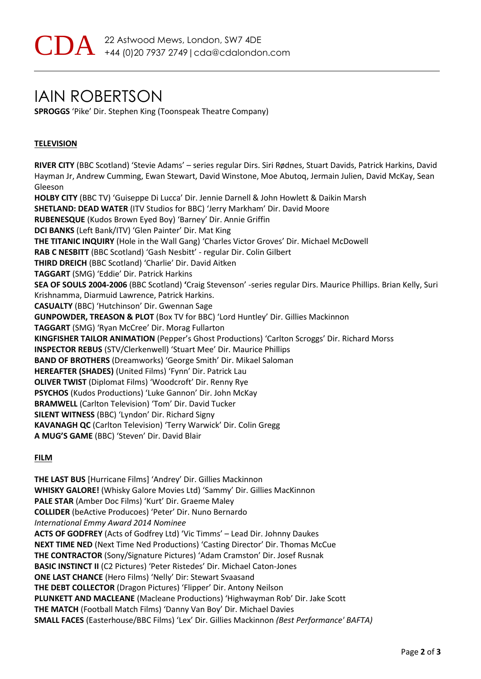## IAIN ROBERTSON

**SPROGGS** 'Pike' Dir. Stephen King (Toonspeak Theatre Company)

## **TELEVISION**

**RIVER CITY** (BBC Scotland) 'Stevie Adams' – series regular Dirs. Siri Rødnes, Stuart Davids, Patrick Harkins, David Hayman Jr, Andrew Cumming, Ewan Stewart, David Winstone, Moe Abutoq, Jermain Julien, David McKay, Sean Gleeson **HOLBY CITY** (BBC TV) 'Guiseppe Di Lucca' Dir. Jennie Darnell & John Howlett & Daikin Marsh **SHETLAND: DEAD WATER** (ITV Studios for BBC) 'Jerry Markham' Dir. David Moore **RUBENESQUE** (Kudos Brown Eyed Boy) 'Barney' Dir. Annie Griffin **DCI BANKS** (Left Bank/ITV) 'Glen Painter' Dir. Mat King **THE TITANIC INQUIRY** (Hole in the Wall Gang) 'Charles Victor Groves' Dir. Michael McDowell **RAB C NESBITT** (BBC Scotland) 'Gash Nesbitt' - regular Dir. Colin Gilbert **THIRD DREICH** (BBC Scotland) 'Charlie' Dir. David Aitken **TAGGART** (SMG) 'Eddie' Dir. Patrick Harkins **SEA OF SOULS 2004-2006** (BBC Scotland) **'**Craig Stevenson' -series regular Dirs. Maurice Phillips. Brian Kelly, Suri Krishnamma, Diarmuid Lawrence, Patrick Harkins. **CASUALTY** (BBC) 'Hutchinson' Dir. Gwennan Sage **GUNPOWDER, TREASON & PLOT** (Box TV for BBC) 'Lord Huntley' Dir. Gillies Mackinnon **TAGGART** (SMG) 'Ryan McCree' Dir. Morag Fullarton **KINGFISHER TAILOR ANIMATION** (Pepper's Ghost Productions) 'Carlton Scroggs' Dir. Richard Morss **INSPECTOR REBUS** (STV/Clerkenwell) 'Stuart Mee' Dir. Maurice Phillips **BAND OF BROTHERS** (Dreamworks) 'George Smith' Dir. Mikael Saloman **HEREAFTER (SHADES)** (United Films) 'Fynn' Dir. Patrick Lau **OLIVER TWIST** (Diplomat Films) 'Woodcroft' Dir. Renny Rye **PSYCHOS** (Kudos Productions) 'Luke Gannon' Dir. John McKay **BRAMWELL** (Carlton Television) 'Tom' Dir. David Tucker **SILENT WITNESS** (BBC) 'Lyndon' Dir. Richard Signy **KAVANAGH QC** (Carlton Television) 'Terry Warwick' Dir. Colin Gregg **A MUG'S GAME** (BBC) 'Steven' Dir. David Blair

### **FILM**

**THE LAST BUS** [Hurricane Films] 'Andrey' Dir. Gillies Mackinnon **WHISKY GALORE!** (Whisky Galore Movies Ltd) 'Sammy' Dir. Gillies MacKinnon **PALE STAR** (Amber Doc Films) 'Kurt' Dir. Graeme Maley **COLLIDER** (beActive Producoes) 'Peter' Dir. Nuno Bernardo *International Emmy Award 2014 Nominee*  **ACTS OF GODFREY** (Acts of Godfrey Ltd) 'Vic Timms' – Lead Dir. Johnny Daukes **NEXT TIME NED** (Next Time Ned Productions) 'Casting Director' Dir. Thomas McCue **THE CONTRACTOR** (Sony/Signature Pictures) 'Adam Cramston' Dir. Josef Rusnak **BASIC INSTINCT II** (C2 Pictures) 'Peter Ristedes' Dir. Michael Caton-Jones **ONE LAST CHANCE** (Hero Films) 'Nelly' Dir: Stewart Svaasand **THE DEBT COLLECTOR** (Dragon Pictures) 'Flipper' Dir. Antony Neilson **PLUNKETT AND MACLEANE** (Macleane Productions) 'Highwayman Rob' Dir. Jake Scott **THE MATCH** (Football Match Films) 'Danny Van Boy' Dir. Michael Davies **SMALL FACES** (Easterhouse/BBC Films) 'Lex' Dir. Gillies Mackinnon *(Best Performance' BAFTA)*